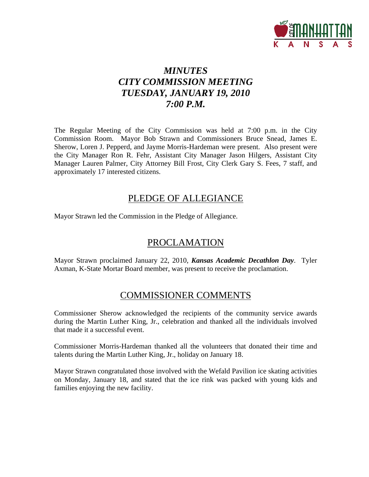

# *MINUTES CITY COMMISSION MEETING TUESDAY, JANUARY 19, 2010 7:00 P.M.*

The Regular Meeting of the City Commission was held at 7:00 p.m. in the City Commission Room. Mayor Bob Strawn and Commissioners Bruce Snead, James E. Sherow, Loren J. Pepperd, and Jayme Morris-Hardeman were present. Also present were the City Manager Ron R. Fehr, Assistant City Manager Jason Hilgers, Assistant City Manager Lauren Palmer, City Attorney Bill Frost, City Clerk Gary S. Fees, 7 staff, and approximately 17 interested citizens.

## PLEDGE OF ALLEGIANCE

Mayor Strawn led the Commission in the Pledge of Allegiance.

## PROCLAMATION

Mayor Strawn proclaimed January 22, 2010, *Kansas Academic Decathlon Day*. Tyler Axman, K-State Mortar Board member, was present to receive the proclamation.

## COMMISSIONER COMMENTS

Commissioner Sherow acknowledged the recipients of the community service awards during the Martin Luther King, Jr., celebration and thanked all the individuals involved that made it a successful event.

Commissioner Morris-Hardeman thanked all the volunteers that donated their time and talents during the Martin Luther King, Jr., holiday on January 18.

Mayor Strawn congratulated those involved with the Wefald Pavilion ice skating activities on Monday, January 18, and stated that the ice rink was packed with young kids and families enjoying the new facility.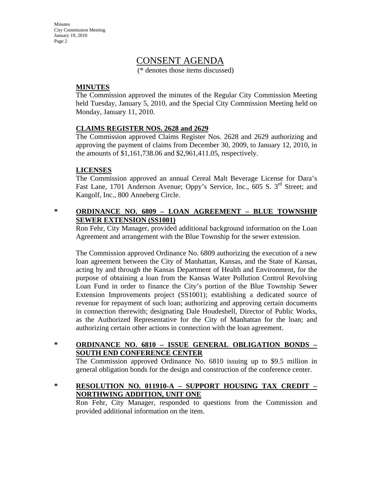Minutes City Commission Meeting January 19, 2010 Page 2

## CONSENT AGENDA

(\* denotes those items discussed)

### **MINUTES**

The Commission approved the minutes of the Regular City Commission Meeting held Tuesday, January 5, 2010, and the Special City Commission Meeting held on Monday, January 11, 2010.

### **CLAIMS REGISTER NOS. 2628 and 2629**

The Commission approved Claims Register Nos. 2628 and 2629 authorizing and approving the payment of claims from December 30, 2009, to January 12, 2010, in the amounts of \$1,161,738.06 and \$2,961,411.05, respectively.

### **LICENSES**

The Commission approved an annual Cereal Malt Beverage License for Dara's Fast Lane, 1701 Anderson Avenue; Oppy's Service, Inc., 605 S. 3<sup>rd</sup> Street; and Kangolf, Inc., 800 Anneberg Circle.

### **\* ORDINANCE NO. 6809 – LOAN AGREEMENT – BLUE TOWNSHIP SEWER EXTENSION (SS1001)**

Ron Fehr, City Manager, provided additional background information on the Loan Agreement and arrangement with the Blue Township for the sewer extension.

The Commission approved Ordinance No. 6809 authorizing the execution of a new loan agreement between the City of Manhattan, Kansas, and the State of Kansas, acting by and through the Kansas Department of Health and Environment, for the purpose of obtaining a loan from the Kansas Water Pollution Control Revolving Loan Fund in order to finance the City's portion of the Blue Township Sewer Extension Improvements project (SS1001); establishing a dedicated source of revenue for repayment of such loan; authorizing and approving certain documents in connection therewith; designating Dale Houdeshell, Director of Public Works, as the Authorized Representative for the City of Manhattan for the loan; and authorizing certain other actions in connection with the loan agreement.

### **\* ORDINANCE NO. 6810 – ISSUE GENERAL OBLIGATION BONDS – SOUTH END CONFERENCE CENTER**

The Commission approved Ordinance No. 6810 issuing up to \$9.5 million in general obligation bonds for the design and construction of the conference center.

### **\* RESOLUTION NO. 011910-A – SUPPORT HOUSING TAX CREDIT – NORTHWING ADDITION, UNIT ONE**

Ron Fehr, City Manager, responded to questions from the Commission and provided additional information on the item.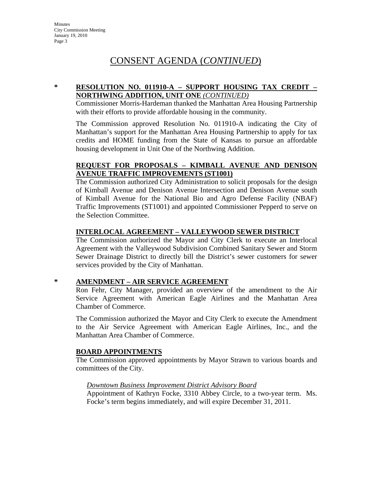## CONSENT AGENDA (*CONTINUED*)

### **\* RESOLUTION NO. 011910-A – SUPPORT HOUSING TAX CREDIT – NORTHWING ADDITION, UNIT ONE** *(CONTINUED)*

Commissioner Morris-Hardeman thanked the Manhattan Area Housing Partnership with their efforts to provide affordable housing in the community.

The Commission approved Resolution No. 011910-A indicating the City of Manhattan's support for the Manhattan Area Housing Partnership to apply for tax credits and HOME funding from the State of Kansas to pursue an affordable housing development in Unit One of the Northwing Addition.

### **REQUEST FOR PROPOSALS – KIMBALL AVENUE AND DENISON AVENUE TRAFFIC IMPROVEMENTS (ST1001)**

The Commission authorized City Administration to solicit proposals for the design of Kimball Avenue and Denison Avenue Intersection and Denison Avenue south of Kimball Avenue for the National Bio and Agro Defense Facility (NBAF) Traffic Improvements (ST1001) and appointed Commissioner Pepperd to serve on the Selection Committee.

### **INTERLOCAL AGREEMENT – VALLEYWOOD SEWER DISTRICT**

The Commission authorized the Mayor and City Clerk to execute an Interlocal Agreement with the Valleywood Subdivision Combined Sanitary Sewer and Storm Sewer Drainage District to directly bill the District's sewer customers for sewer services provided by the City of Manhattan.

### **\* AMENDMENT – AIR SERVICE AGREEMENT**

Ron Fehr, City Manager, provided an overview of the amendment to the Air Service Agreement with American Eagle Airlines and the Manhattan Area Chamber of Commerce.

The Commission authorized the Mayor and City Clerk to execute the Amendment to the Air Service Agreement with American Eagle Airlines, Inc., and the Manhattan Area Chamber of Commerce.

### **BOARD APPOINTMENTS**

The Commission approved appointments by Mayor Strawn to various boards and committees of the City.

#### *Downtown Business Improvement District Advisory Board*

Appointment of Kathryn Focke, 3310 Abbey Circle, to a two-year term. Ms. Focke's term begins immediately, and will expire December 31, 2011.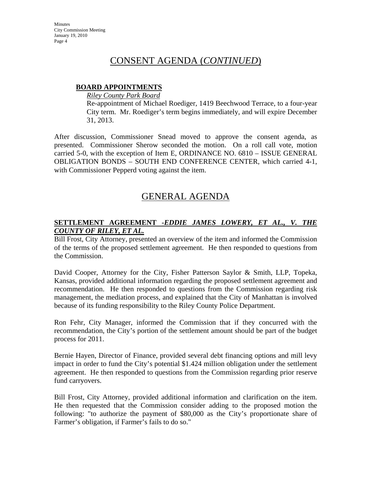## CONSENT AGENDA (*CONTINUED*)

### **BOARD APPOINTMENTS**

*Riley County Park Board*

Re-appointment of Michael Roediger, 1419 Beechwood Terrace, to a four-year City term. Mr. Roediger's term begins immediately, and will expire December 31, 2013.

After discussion, Commissioner Snead moved to approve the consent agenda, as presented. Commissioner Sherow seconded the motion. On a roll call vote, motion carried 5-0, with the exception of Item E, ORDINANCE NO. 6810 – ISSUE GENERAL OBLIGATION BONDS – SOUTH END CONFERENCE CENTER, which carried 4-1, with Commissioner Pepperd voting against the item.

## GENERAL AGENDA

### **SETTLEMENT AGREEMENT -***EDDIE JAMES LOWERY, ET AL., V. THE COUNTY OF RILEY, ET AL.*

Bill Frost, City Attorney, presented an overview of the item and informed the Commission of the terms of the proposed settlement agreement. He then responded to questions from the Commission.

David Cooper, Attorney for the City, Fisher Patterson Saylor & Smith, LLP, Topeka, Kansas, provided additional information regarding the proposed settlement agreement and recommendation. He then responded to questions from the Commission regarding risk management, the mediation process, and explained that the City of Manhattan is involved because of its funding responsibility to the Riley County Police Department.

Ron Fehr, City Manager, informed the Commission that if they concurred with the recommendation, the City's portion of the settlement amount should be part of the budget process for 2011.

Bernie Hayen, Director of Finance, provided several debt financing options and mill levy impact in order to fund the City's potential \$1.424 million obligation under the settlement agreement. He then responded to questions from the Commission regarding prior reserve fund carryovers.

Bill Frost, City Attorney, provided additional information and clarification on the item. He then requested that the Commission consider adding to the proposed motion the following: "to authorize the payment of \$80,000 as the City's proportionate share of Farmer's obligation, if Farmer's fails to do so."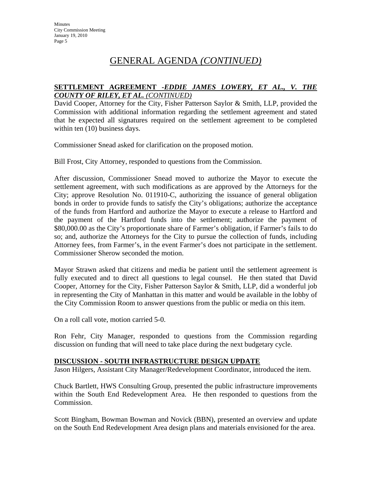### **SETTLEMENT AGREEMENT -***EDDIE JAMES LOWERY, ET AL., V. THE COUNTY OF RILEY, ET AL. (CONTINUED)*

David Cooper, Attorney for the City, Fisher Patterson Saylor & Smith, LLP, provided the Commission with additional information regarding the settlement agreement and stated that he expected all signatures required on the settlement agreement to be completed within ten  $(10)$  business days.

Commissioner Snead asked for clarification on the proposed motion.

Bill Frost, City Attorney, responded to questions from the Commission.

After discussion, Commissioner Snead moved to authorize the Mayor to execute the settlement agreement, with such modifications as are approved by the Attorneys for the City; approve Resolution No. 011910-C, authorizing the issuance of general obligation bonds in order to provide funds to satisfy the City's obligations; authorize the acceptance of the funds from Hartford and authorize the Mayor to execute a release to Hartford and the payment of the Hartford funds into the settlement; authorize the payment of \$80,000.00 as the City's proportionate share of Farmer's obligation, if Farmer's fails to do so; and, authorize the Attorneys for the City to pursue the collection of funds, including Attorney fees, from Farmer's, in the event Farmer's does not participate in the settlement. Commissioner Sherow seconded the motion.

Mayor Strawn asked that citizens and media be patient until the settlement agreement is fully executed and to direct all questions to legal counsel. He then stated that David Cooper, Attorney for the City, Fisher Patterson Saylor & Smith, LLP, did a wonderful job in representing the City of Manhattan in this matter and would be available in the lobby of the City Commission Room to answer questions from the public or media on this item.

On a roll call vote, motion carried 5-0.

Ron Fehr, City Manager, responded to questions from the Commission regarding discussion on funding that will need to take place during the next budgetary cycle.

### **DISCUSSION - SOUTH INFRASTRUCTURE DESIGN UPDATE**

Jason Hilgers, Assistant City Manager/Redevelopment Coordinator, introduced the item.

Chuck Bartlett, HWS Consulting Group, presented the public infrastructure improvements within the South End Redevelopment Area. He then responded to questions from the Commission.

Scott Bingham, Bowman Bowman and Novick (BBN), presented an overview and update on the South End Redevelopment Area design plans and materials envisioned for the area.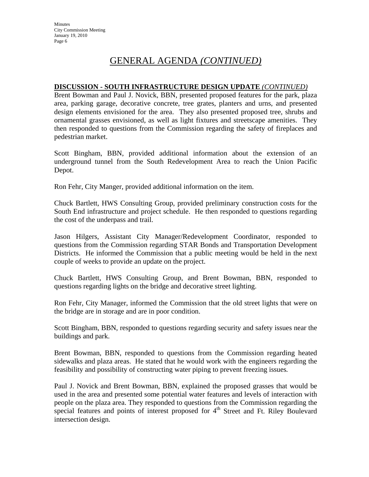### **DISCUSSION - SOUTH INFRASTRUCTURE DESIGN UPDATE** *(CONTINUED)*

Brent Bowman and Paul J. Novick, BBN, presented proposed features for the park, plaza area, parking garage, decorative concrete, tree grates, planters and urns, and presented design elements envisioned for the area. They also presented proposed tree, shrubs and ornamental grasses envisioned, as well as light fixtures and streetscape amenities. They then responded to questions from the Commission regarding the safety of fireplaces and pedestrian market.

Scott Bingham, BBN, provided additional information about the extension of an underground tunnel from the South Redevelopment Area to reach the Union Pacific Depot.

Ron Fehr, City Manger, provided additional information on the item.

Chuck Bartlett, HWS Consulting Group, provided preliminary construction costs for the South End infrastructure and project schedule. He then responded to questions regarding the cost of the underpass and trail.

Jason Hilgers, Assistant City Manager/Redevelopment Coordinator, responded to questions from the Commission regarding STAR Bonds and Transportation Development Districts. He informed the Commission that a public meeting would be held in the next couple of weeks to provide an update on the project.

Chuck Bartlett, HWS Consulting Group, and Brent Bowman, BBN, responded to questions regarding lights on the bridge and decorative street lighting.

Ron Fehr, City Manager, informed the Commission that the old street lights that were on the bridge are in storage and are in poor condition.

Scott Bingham, BBN, responded to questions regarding security and safety issues near the buildings and park.

Brent Bowman, BBN, responded to questions from the Commission regarding heated sidewalks and plaza areas. He stated that he would work with the engineers regarding the feasibility and possibility of constructing water piping to prevent freezing issues*.* 

Paul J. Novick and Brent Bowman, BBN, explained the proposed grasses that would be used in the area and presented some potential water features and levels of interaction with people on the plaza area. They responded to questions from the Commission regarding the special features and points of interest proposed for  $4<sup>th</sup>$  Street and Ft. Riley Boulevard intersection design.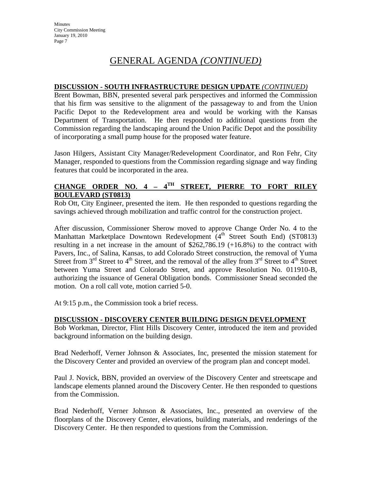### **DISCUSSION - SOUTH INFRASTRUCTURE DESIGN UPDATE** *(CONTINUED)*

Brent Bowman, BBN, presented several park perspectives and informed the Commission that his firm was sensitive to the alignment of the passageway to and from the Union Pacific Depot to the Redevelopment area and would be working with the Kansas Department of Transportation. He then responded to additional questions from the Commission regarding the landscaping around the Union Pacific Depot and the possibility of incorporating a small pump house for the proposed water feature.

Jason Hilgers, Assistant City Manager/Redevelopment Coordinator, and Ron Fehr, City Manager, responded to questions from the Commission regarding signage and way finding features that could be incorporated in the area.

### **CHANGE ORDER NO. 4 – 4TH STREET, PIERRE TO FORT RILEY BOULEVARD (ST0813)**

Rob Ott, City Engineer, presented the item. He then responded to questions regarding the savings achieved through mobilization and traffic control for the construction project.

After discussion, Commissioner Sherow moved to approve Change Order No. 4 to the Manhattan Marketplace Downtown Redevelopment  $(4<sup>th</sup>$  Street South End) (ST0813) resulting in a net increase in the amount of \$262,786.19 (+16.8%) to the contract with Pavers, Inc., of Salina, Kansas, to add Colorado Street construction, the removal of Yuma Street from  $3<sup>rd</sup>$  Street to  $4<sup>th</sup>$  Street, and the removal of the alley from  $3<sup>rd</sup>$  Street to  $4<sup>th</sup>$  Street between Yuma Street and Colorado Street, and approve Resolution No. 011910-B, authorizing the issuance of General Obligation bonds. Commissioner Snead seconded the motion. On a roll call vote, motion carried 5-0.

At 9:15 p.m., the Commission took a brief recess.

### **DISCUSSION - DISCOVERY CENTER BUILDING DESIGN DEVELOPMENT**

Bob Workman, Director, Flint Hills Discovery Center, introduced the item and provided background information on the building design.

Brad Nederhoff, Verner Johnson & Associates, Inc, presented the mission statement for the Discovery Center and provided an overview of the program plan and concept model.

Paul J. Novick, BBN, provided an overview of the Discovery Center and streetscape and landscape elements planned around the Discovery Center. He then responded to questions from the Commission.

Brad Nederhoff, Verner Johnson & Associates, Inc., presented an overview of the floorplans of the Discovery Center, elevations, building materials, and renderings of the Discovery Center. He then responded to questions from the Commission.